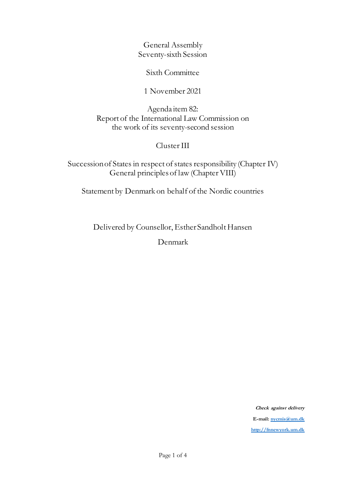General Assembly Seventy-sixth Session

Sixth Committee

1 November 2021

Agenda item 82: Report of the International Law Commission on the work of its seventy-second session

## Cluster III

Succession of States in respect of states responsibility (Chapter IV) General principles of law (Chapter VIII)

Statement by Denmark on behalf of the Nordic countries

Delivered by Counsellor, Esther Sandholt Hansen

Denmark

**Check against delivery E-mai[l: nycmis@um.dk](mailto:nycmis@um.dk) [http://fnnewyork.um.dk](http://fnnewyork.um.dk/)**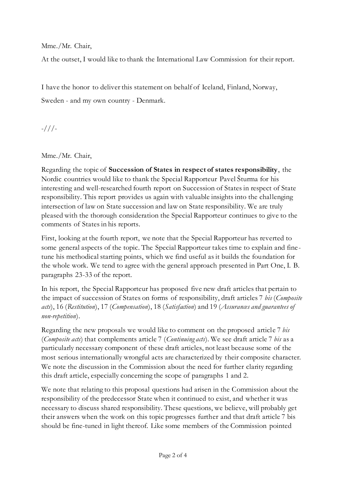Mme./Mr. Chair,

At the outset, I would like to thank the International Law Commission for their report.

I have the honor to deliver this statement on behalf of Iceland, Finland, Norway, Sweden - and my own country - Denmark.

-///-

Mme./Mr. Chair,

Regarding the topic of **Succession of States in respect of states responsibility**, the Nordic countries would like to thank the Special Rapporteur Pavel Šturma for his interesting and well-researched fourth report on Succession of States in respect of State responsibility. This report provides us again with valuable insights into the challenging intersection of law on State succession and law on State responsibility. We are truly pleased with the thorough consideration the Special Rapporteur continues to give to the comments of States in his reports.

First, looking at the fourth report, we note that the Special Rapporteur has reverted to some general aspects of the topic. The Special Rapporteur takes time to explain and finetune his methodical starting points, which we find useful as it builds the foundation for the whole work. We tend to agree with the general approach presented in Part One, I. B. paragraphs 23-33 of the report.

In his report, the Special Rapporteur has proposed five new draft articles that pertain to the impact of succession of States on forms of responsibility, draft articles 7 *bis* (*Composite acts*), 16 (*Restitution*), 17 (*Compensation*), 18 (*Satisfaction*) and 19 (*Assurances and guarantees of non-repetition*).

Regarding the new proposals we would like to comment on the proposed article 7 *bis* (*Composite acts*) that complements article 7 (*Continuing acts*). We see draft article 7 *bis* as a particularly necessary component of these draft articles, not least because some of the most serious internationally wrongful acts are characterized by their composite character. We note the discussion in the Commission about the need for further clarity regarding this draft article, especially concerning the scope of paragraphs 1 and 2.

We note that relating to this proposal questions had arisen in the Commission about the responsibility of the predecessor State when it continued to exist, and whether it was necessary to discuss shared responsibility. These questions, we believe, will probably get their answers when the work on this topic progresses further and that draft article 7 bis should be fine-tuned in light thereof. Like some members of the Commission pointed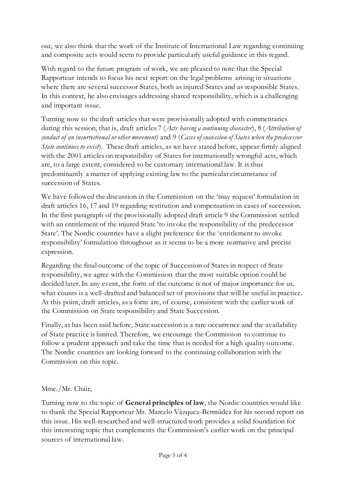out, we also think that the work of the Institute of International Law regarding continuing and composite acts would seem to provide particularly useful guidance in this regard.

With regard to the future program of work, we are pleased to note that the Special Rapporteur intends to focus his next report on the legal problems arising in situations where there are several successor States, both as injured States and as responsible States. In this context, he also envisages addressing shared responsibility, which is a challenging and important issue.

Turning now to the draft articles that were provisionally adopted with commentaries during this session, that is, draft articles 7 (*Acts having a continuing character*), 8 (*Attribution of conduct of an insurrectional or other movement)* and 9 (*Cases of succession of States when the predecessor State continues to exist*). These draft articles, as we have stated before, appear firmly aligned with the 2001 articles on responsibility of States for internationally wrongful acts, which are, to a large extent, considered to be customary international law. It is thus predominantly a matter of applying existing law to the particular circumstance of succession of States.

We have followed the discussion in the Commission on the 'may request' formulation in draft articles 16, 17 and 19 regarding restitution and compensation in cases of succession. In the first paragraph of the provisionally adopted draft article 9 the Commission settled with an entitlement of the injured State 'to invoke the responsibility of the predecessor State'. The Nordic countries have a slight preference for the 'entitlement to invoke responsibility' formulation throughout as it seems to be a more normative and precise expression.

Regarding the final outcome of the topic of Succession of States in respect of State responsibility, we agree with the Commission that the most suitable option could be decided later. In any event, the form of the outcome is not of major importance for us, what counts is a well-drafted and balanced set of provisions that will be useful in practice. At this point, draft articles, as a form are, of course, consistent with the earlier work of the Commission on State responsibility and State Succession.

Finally, as has been said before, State succession is a rare occurrence and the availability of State practice is limited. Therefore, we encourage the Commission to continue to follow a prudent approach and take the time that is needed for a high quality outcome. The Nordic countries are looking forward to the continuing collaboration with the Commission on this topic.

## Mme./Mr. Chair,

Turning now to the topic of **General principles of law**, the Nordic countries would like to thank the Special Rapporteur Mr. Marcelo Vázquez-Bermúdez for his second report on this issue. His well-researched and well-structured work provides a solid foundation for this interesting topic that complements the Commission's earlier work on the principal sources of international law.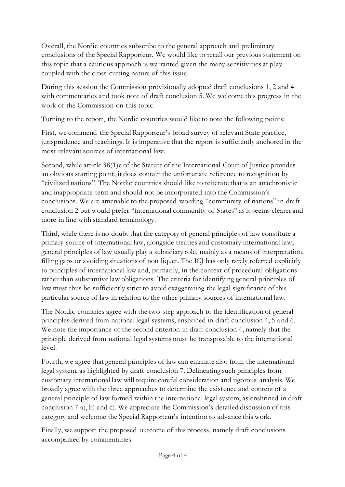Overall, the Nordic countries subscribe to the general approach and preliminary conclusions of the Special Rapporteur. We would like to recall our previous statement on this topic that a cautious approach is warranted given the many sensitivities at play coupled with the cross-cutting nature of this issue.

During this session the Commission provisionally adopted draft conclusions 1, 2 and 4 with commentaries and took note of draft conclusion 5. We welcome this progress in the work of the Commission on this topic.

Turning to the report, the Nordic countries would like to note the following points:

First, we commend the Special Rapporteur's broad survey of relevant State practice, jurisprudence and teachings. It is imperative that the report is sufficiently anchored in the most relevant sources of international law.

Second, while article 38(1)c of the Statute of the International Court of Justice provides an obvious starting point, it does contain the unfortunate reference to recognition by "civilized nations". The Nordic countries should like to reiterate that is an anachronistic and inappropriate term and should not be incorporated into the Commission's conclusions. We are amenable to the proposed wording "community of nations" in draft conclusion 2 but would prefer "international community of States" as it seems clearer and more in line with standard terminology.

Third, while there is no doubt that the category of general principles of law constitute a primary source of international law, alongside treaties and customary international law, general principles of law usually play a subsidiary role, mainly as a means of interpretation, filling gaps or avoiding situations of non liquet. The ICJ has only rarely referred explicitly to principles of international law and, primarily, in the context of procedural obligations rather than substantive law obligations. The criteria for identifying general principles of law must thus be sufficiently strict to avoid exaggerating the legal significance of this particular source of law in relation to the other primary sources of international law.

The Nordic countries agree with the two-step approach to the identification of general principles derived from national legal systems, enshrined in draft conclusion 4, 5 and 6. We note the importance of the second criterion in draft conclusion 4, namely that the principle derived from national legal systems must be transposable to the international level.

Fourth, we agree that general principles of law can emanate also from the international legal system, as highlighted by draft conclusion 7. Delineating such principles from customary international law will require careful consideration and rigorous analysis. We broadly agree with the three approaches to determine the existence and content of a general principle of law formed within the international legal system, as enshrined in draft conclusion 7 a), b) and c). We appreciate the Commission's detailed discussion of this category and welcome the Special Rapporteur's intention to advance this work.

Finally, we support the proposed outcome of this process, namely draft conclusions accompanied by commentaries.